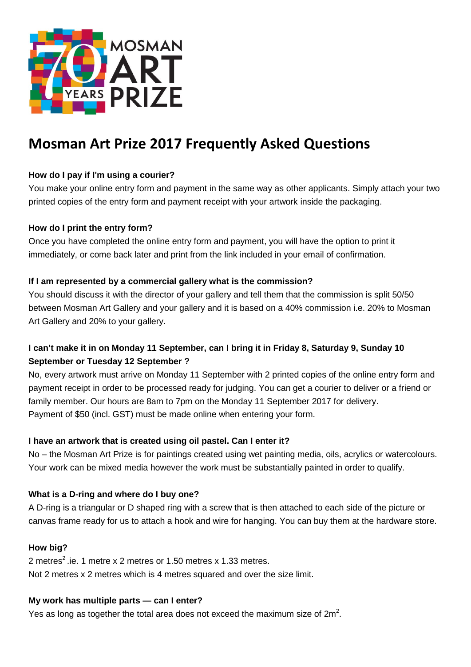

# **Mosman Art Prize 2017 Frequently Asked Questions**

# **How do I pay if I'm using a courier?**

You make your online entry form and payment in the same way as other applicants. Simply attach your two printed copies of the entry form and payment receipt with your artwork inside the packaging.

## **How do I print the entry form?**

Once you have completed the online entry form and payment, you will have the option to print it immediately, or come back later and print from the link included in your email of confirmation.

## **If I am represented by a commercial gallery what is the commission?**

You should discuss it with the director of your gallery and tell them that the commission is split 50/50 between Mosman Art Gallery and your gallery and it is based on a 40% commission i.e. 20% to Mosman Art Gallery and 20% to your gallery.

# **I can't make it in on Monday 11 September, can I bring it in Friday 8, Saturday 9, Sunday 10 September or Tuesday 12 September ?**

No, every artwork must arrive on Monday 11 September with 2 printed copies of the online entry form and payment receipt in order to be processed ready for judging. You can get a courier to deliver or a friend or family member. Our hours are 8am to 7pm on the Monday 11 September 2017 for delivery. Payment of \$50 (incl. GST) must be made online when entering your form.

# **I have an artwork that is created using oil pastel. Can I enter it?**

No – the Mosman Art Prize is for paintings created using wet painting media, oils, acrylics or watercolours. Your work can be mixed media however the work must be substantially painted in order to qualify.

## **What is a D-ring and where do I buy one?**

A D-ring is a triangular or D shaped ring with a screw that is then attached to each side of the picture or canvas frame ready for us to attach a hook and wire for hanging. You can buy them at the hardware store.

## **How big?**

2 metres<sup>2</sup> .ie. 1 metre x 2 metres or 1.50 metres x 1.33 metres. Not 2 metres x 2 metres which is 4 metres squared and over the size limit.

## **My work has multiple parts — can I enter?**

Yes as long as together the total area does not exceed the maximum size of  $2m^2$ .